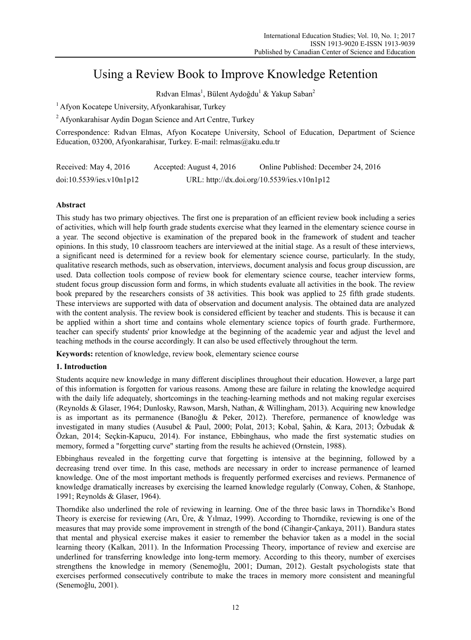# Using a Review Book to Improve Knowledge Retention

Rıdvan Elmas<sup>1</sup>, Bülent Aydoğdu<sup>1</sup> & Yakup Saban<sup>2</sup>

<sup>1</sup> Afvon Kocatepe University, Afyonkarahisar, Turkey

2 Afyonkarahisar Aydin Dogan Science and Art Centre, Turkey

Correspondence: Rıdvan Elmas, Afyon Kocatepe University, School of Education, Department of Science Education, 03200, Afyonkarahisar, Turkey. E-mail: relmas@aku.edu.tr

| Received: May 4, 2016    | Accepted: August 4, 2016 | Online Published: December 24, 2016         |
|--------------------------|--------------------------|---------------------------------------------|
| doi:10.5539/ies.v10n1p12 |                          | URL: http://dx.doi.org/10.5539/ies.v10n1p12 |

# **Abstract**

This study has two primary objectives. The first one is preparation of an efficient review book including a series of activities, which will help fourth grade students exercise what they learned in the elementary science course in a year. The second objective is examination of the prepared book in the framework of student and teacher opinions. In this study, 10 classroom teachers are interviewed at the initial stage. As a result of these interviews, a significant need is determined for a review book for elementary science course, particularly. In the study, qualitative research methods, such as observation, interviews, document analysis and focus group discussion, are used. Data collection tools compose of review book for elementary science course, teacher interview forms, student focus group discussion form and forms, in which students evaluate all activities in the book. The review book prepared by the researchers consists of 38 activities. This book was applied to 25 fifth grade students. These interviews are supported with data of observation and document analysis. The obtained data are analyzed with the content analysis. The review book is considered efficient by teacher and students. This is because it can be applied within a short time and contains whole elementary science topics of fourth grade. Furthermore, teacher can specify students' prior knowledge at the beginning of the academic year and adjust the level and teaching methods in the course accordingly. It can also be used effectively throughout the term.

**Keywords:** retention of knowledge, review book, elementary science course

# **1. Introduction**

Students acquire new knowledge in many different disciplines throughout their education. However, a large part of this information is forgotten for various reasons. Among these are failure in relating the knowledge acquired with the daily life adequately, shortcomings in the teaching-learning methods and not making regular exercises (Reynolds & Glaser, 1964; Dunlosky, Rawson, Marsh, Nathan, & Willingham, 2013). Acquiring new knowledge is as important as its permanence (Banoğlu & Peker, 2012). Therefore, permanence of knowledge was investigated in many studies (Ausubel & Paul, 2000; Polat, 2013; Kobal, Şahin, & Kara, 2013; Özbudak & Özkan, 2014; Seçkin-Kapucu, 2014). For instance, Ebbinghaus, who made the first systematic studies on memory, formed a "forgetting curve" starting from the results he achieved (Ornstein, 1988).

Ebbinghaus revealed in the forgetting curve that forgetting is intensive at the beginning, followed by a decreasing trend over time. In this case, methods are necessary in order to increase permanence of learned knowledge. One of the most important methods is frequently performed exercises and reviews. Permanence of knowledge dramatically increases by exercising the learned knowledge regularly (Conway, Cohen, & Stanhope, 1991; Reynolds & Glaser, 1964).

Thorndike also underlined the role of reviewing in learning. One of the three basic laws in Thorndike's Bond Theory is exercise for reviewing (Arı, Üre, & Yılmaz, 1999). According to Thorndike, reviewing is one of the measures that may provide some improvement in strength of the bond (Cihangir-Çankaya, 2011). Bandura states that mental and physical exercise makes it easier to remember the behavior taken as a model in the social learning theory (Kalkan, 2011). In the Information Processing Theory, importance of review and exercise are underlined for transferring knowledge into long-term memory. According to this theory, number of exercises strengthens the knowledge in memory (Senemoğlu, 2001; Duman, 2012). Gestalt psychologists state that exercises performed consecutively contribute to make the traces in memory more consistent and meaningful (Senemoğlu, 2001).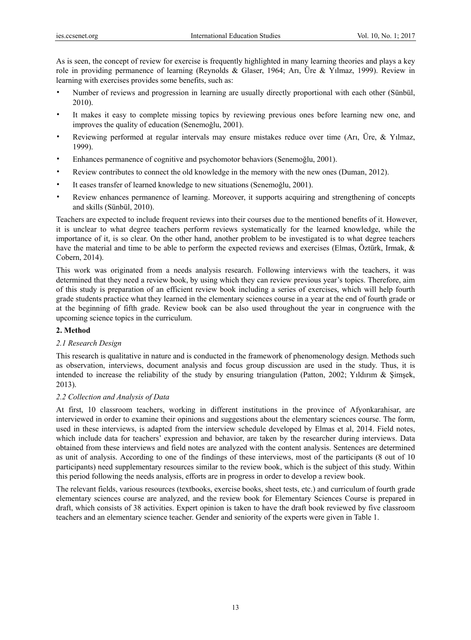As is seen, the concept of review for exercise is frequently highlighted in many learning theories and plays a key role in providing permanence of learning (Reynolds & Glaser, 1964; Arı, Üre & Yılmaz, 1999). Review in learning with exercises provides some benefits, such as:

- Number of reviews and progression in learning are usually directly proportional with each other (Sünbül, 2010).
- It makes it easy to complete missing topics by reviewing previous ones before learning new one, and improves the quality of education (Senemoğlu, 2001).
- Reviewing performed at regular intervals may ensure mistakes reduce over time (Arı, Üre, & Yılmaz, 1999).
- Enhances permanence of cognitive and psychomotor behaviors (Senemoğlu, 2001).
- Review contributes to connect the old knowledge in the memory with the new ones (Duman, 2012).
- It eases transfer of learned knowledge to new situations (Senemoğlu, 2001).
- Review enhances permanence of learning. Moreover, it supports acquiring and strengthening of concepts and skills (Sünbül, 2010).

Teachers are expected to include frequent reviews into their courses due to the mentioned benefits of it. However, it is unclear to what degree teachers perform reviews systematically for the learned knowledge, while the importance of it, is so clear. On the other hand, another problem to be investigated is to what degree teachers have the material and time to be able to perform the expected reviews and exercises (Elmas, Öztürk, Irmak, & Cobern, 2014).

This work was originated from a needs analysis research. Following interviews with the teachers, it was determined that they need a review book, by using which they can review previous year's topics. Therefore, aim of this study is preparation of an efficient review book including a series of exercises, which will help fourth grade students practice what they learned in the elementary sciences course in a year at the end of fourth grade or at the beginning of fifth grade. Review book can be also used throughout the year in congruence with the upcoming science topics in the curriculum.

## **2. Method**

## *2.1 Research Design*

This research is qualitative in nature and is conducted in the framework of phenomenology design. Methods such as observation, interviews, document analysis and focus group discussion are used in the study. Thus, it is intended to increase the reliability of the study by ensuring triangulation (Patton, 2002; Yıldırım & Şimşek, 2013).

## *2.2 Collection and Analysis of Data*

At first, 10 classroom teachers, working in different institutions in the province of Afyonkarahisar, are interviewed in order to examine their opinions and suggestions about the elementary sciences course. The form, used in these interviews, is adapted from the interview schedule developed by Elmas et al, 2014. Field notes, which include data for teachers' expression and behavior, are taken by the researcher during interviews. Data obtained from these interviews and field notes are analyzed with the content analysis. Sentences are determined as unit of analysis. According to one of the findings of these interviews, most of the participants (8 out of 10 participants) need supplementary resources similar to the review book, which is the subject of this study. Within this period following the needs analysis, efforts are in progress in order to develop a review book.

The relevant fields, various resources (textbooks, exercise books, sheet tests, etc.) and curriculum of fourth grade elementary sciences course are analyzed, and the review book for Elementary Sciences Course is prepared in draft, which consists of 38 activities. Expert opinion is taken to have the draft book reviewed by five classroom teachers and an elementary science teacher. Gender and seniority of the experts were given in Table 1.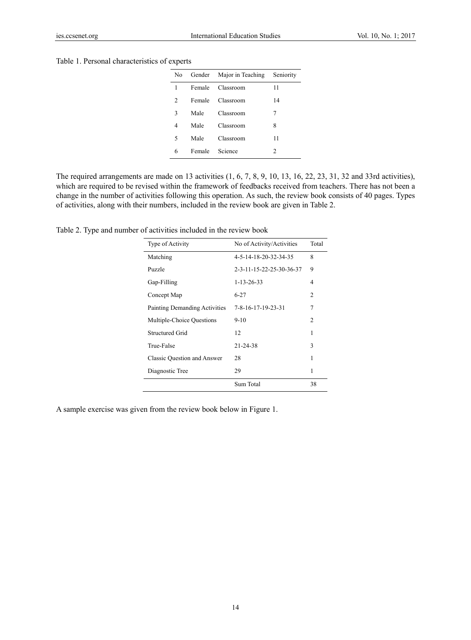#### Table 1. Personal characteristics of experts

| No | Gender | Major in Teaching | Seniority |
|----|--------|-------------------|-----------|
| 1  | Female | Classroom         | 11        |
| 2  | Female | Classroom         | 14        |
| 3  | Male   | Classroom         | 7         |
| 4  | Male   | Classroom         | 8         |
| 5  | Male   | Classroom         | 11        |
| 6  | Female | Science           | 2         |

The required arrangements are made on 13 activities (1, 6, 7, 8, 9, 10, 13, 16, 22, 23, 31, 32 and 33rd activities), which are required to be revised within the framework of feedbacks received from teachers. There has not been a change in the number of activities following this operation. As such, the review book consists of 40 pages. Types of activities, along with their numbers, included in the review book are given in Table 2.

Table 2. Type and number of activities included in the review book

| Type of Activity              | No of Activity/Activities | Total          |
|-------------------------------|---------------------------|----------------|
| Matching                      | 4-5-14-18-20-32-34-35     | 8              |
| Puzzle                        | 2-3-11-15-22-25-30-36-37  | 9              |
| Gap-Filling                   | $1 - 13 - 26 - 33$        | 4              |
| Concept Map                   | $6 - 27$                  | 2              |
| Painting Demanding Activities | 7-8-16-17-19-23-31        | 7              |
| Multiple-Choice Questions     | $9-10$                    | $\overline{c}$ |
| Structured Grid               | 12                        | 1              |
| True-False                    | 21-24-38                  | 3              |
| Classic Ouestion and Answer   | 28                        | 1              |
| Diagnostic Tree               | 29                        | 1              |
|                               | Sum Total                 | 38             |

A sample exercise was given from the review book below in Figure 1.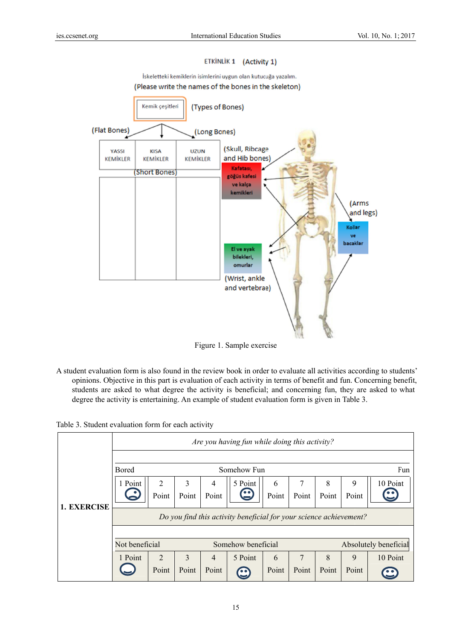## ETKİNLİK 1 (Activity 1)

İskeletteki kemiklerin isimlerini uygun olan kutucuğa yazalım.

#### (Please write the names of the bones in the skeleton)



Figure 1. Sample exercise

A student evaluation form is also found in the review book in order to evaluate all activities according to students' opinions. Objective in this part is evaluation of each activity in terms of benefit and fun. Concerning benefit, students are asked to what degree the activity is beneficial; and concerning fun, they are asked to what degree the activity is entertaining. An example of student evaluation form is given in Table 3.

Table 3. Student evaluation form for each activity

|                    | Are you having fun while doing this activity?                      |       |       |                |                    |       |       |       |                       |          |
|--------------------|--------------------------------------------------------------------|-------|-------|----------------|--------------------|-------|-------|-------|-----------------------|----------|
|                    |                                                                    |       |       |                |                    |       |       |       |                       |          |
|                    | <b>Bored</b>                                                       |       |       |                | Somehow Fun        |       |       |       |                       | Fun      |
|                    | 1 Point                                                            | 2     | 3     | $\overline{4}$ | 5 Point            | 6     | 7     | 8     | 9                     | 10 Point |
|                    |                                                                    | Point | Point | Point          |                    | Point | Point | Point | Point                 |          |
| <b>1. EXERCISE</b> | Do you find this activity beneficial for your science achievement? |       |       |                |                    |       |       |       |                       |          |
|                    |                                                                    |       |       |                |                    |       |       |       |                       |          |
|                    | Not beneficial                                                     |       |       |                | Somehow beneficial |       |       |       | Absolutely beneficial |          |
|                    | 1 Point                                                            | 2     | 3     | $\overline{4}$ | 5 Point            | 6     | 7     | 8     | 9                     | 10 Point |
|                    |                                                                    | Point | Point | Point          | $\bullet$          | Point | Point | Point | Point                 |          |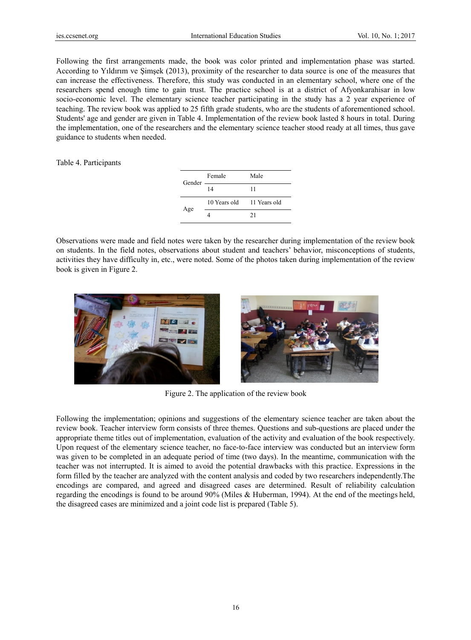Following the first arrangements made, the book was color printed and implementation phase was started. According to Yıldırım ve Şimşek (2013), proximity of the researcher to data source is one of the measures that can increase the effectiveness. Therefore, this study was conducted in an elementary school, where one of the researchers spend enough time to gain trust. The practice school is at a district of Afyonkarahisar in low socio-economic level. The elementary science teacher participating in the study has a 2 year experience of teaching. The review book was applied to 25 fifth grade students, who are the students of aforementioned school. Students' age and gender are given in Table 4. Implementation of the review book lasted 8 hours in total. During the implementation, one of the researchers and the elementary science teacher stood ready at all times, thus gave guidance to students when needed.

Table 4. Participants

| Gender — | Female                    | Male |
|----------|---------------------------|------|
|          | 14                        | 11   |
| Age      | 10 Years old 11 Years old |      |
|          |                           | 21   |

Observations were made and field notes were taken by the researcher during implementation of the review book on students. In the field notes, observations about student and teachers' behavior, misconceptions of students, activities they have difficulty in, etc., were noted. Some of the photos taken during implementation of the review book is given in Figure 2.



Figure 2. The application of the review book

Following the implementation; opinions and suggestions of the elementary science teacher are taken about the review book. Teacher interview form consists of three themes. Questions and sub-questions are placed under the appropriate theme titles out of implementation, evaluation of the activity and evaluation of the book respectively. Upon request of the elementary science teacher, no face-to-face interview was conducted but an interview form was given to be completed in an adequate period of time (two days). In the meantime, communication with the teacher was not interrupted. It is aimed to avoid the potential drawbacks with this practice. Expressions in the form filled by the teacher are analyzed with the content analysis and coded by two researchers independently. The encodings are compared, and agreed and disagreed cases are determined. Result of reliability calculation regarding the encodings is found to be around 90% (Miles & Huberman, 1994). At the end of the meetings held, the disagreed cases are minimized and a joint code list is prepared (Table 5).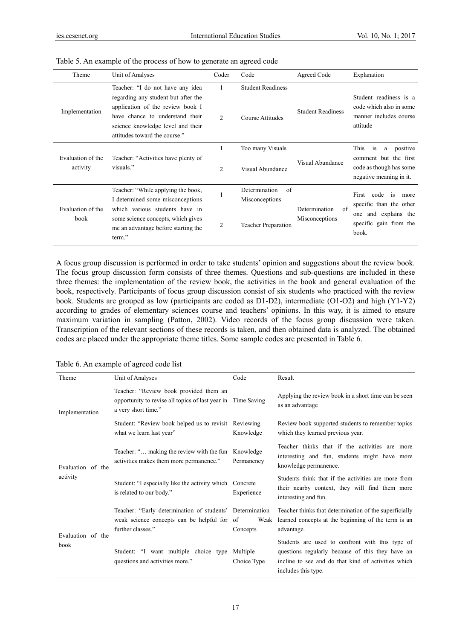| Theme                         | Unit of Analyses                                                                                                                                                                                                     | Coder               | Code                                         | Agreed Code              | Explanation                                                                                                          |
|-------------------------------|----------------------------------------------------------------------------------------------------------------------------------------------------------------------------------------------------------------------|---------------------|----------------------------------------------|--------------------------|----------------------------------------------------------------------------------------------------------------------|
| Implementation                | Teacher: "I do not have any idea<br>regarding any student but after the<br>application of the review book I<br>have chance to understand their<br>science knowledge level and their<br>attitudes toward the course." | 2                   | <b>Student Readiness</b><br>Course Attitudes | <b>Student Readiness</b> | Student readiness is a<br>code which also in some<br>manner includes course<br>attitude                              |
| Evaluation of the<br>activity | Teacher: "Activities have plenty of<br>visuals."                                                                                                                                                                     | 1<br>$\overline{2}$ | Too many Visuals<br>Visual Abundance         | Visual Abundance         | This<br>positive<br>is<br>a<br>comment but the first<br>code as though has some<br>negative meaning in it.           |
| Evaluation of the<br>book     | Teacher: "While applying the book,<br>I determined some misconceptions<br>which various students have in                                                                                                             |                     | Determination<br>of<br>Misconceptions        | of<br>Determination      | is<br>First<br>code<br>more<br>specific than the other<br>and explains the<br>one<br>specific gain from the<br>book. |
|                               | some science concepts, which gives<br>me an advantage before starting the<br>term."                                                                                                                                  | 2                   | <b>Teacher Preparation</b>                   | Misconceptions           |                                                                                                                      |

#### Table 5. An example of the process of how to generate an agreed code

A focus group discussion is performed in order to take students' opinion and suggestions about the review book. The focus group discussion form consists of three themes. Questions and sub-questions are included in these three themes: the implementation of the review book, the activities in the book and general evaluation of the book, respectively. Participants of focus group discussion consist of six students who practiced with the review book. Students are grouped as low (participants are coded as D1-D2), intermediate (O1-O2) and high (Y1-Y2) according to grades of elementary sciences course and teachers' opinions. In this way, it is aimed to ensure maximum variation in sampling (Patton, 2002). Video records of the focus group discussion were taken. Transcription of the relevant sections of these records is taken, and then obtained data is analyzed. The obtained codes are placed under the appropriate theme titles. Some sample codes are presented in Table 6.

| Theme                         | Unit of Analyses                                                                                                              | Code                    | Result                                                                                                                                                                            |  |
|-------------------------------|-------------------------------------------------------------------------------------------------------------------------------|-------------------------|-----------------------------------------------------------------------------------------------------------------------------------------------------------------------------------|--|
| Implementation                | Teacher: "Review book provided them an<br>opportunity to revise all topics of last year in Time Saving<br>a very short time." |                         | Applying the review book in a short time can be seen<br>as an advantage                                                                                                           |  |
|                               | Student: "Review book helped us to revisit Reviewing<br>what we learn last year"                                              | Knowledge               | Review book supported students to remember topics<br>which they learned previous year.                                                                                            |  |
| Evaluation of the<br>activity | Teacher: " making the review with the fun<br>activities makes them more permanence."                                          | Knowledge<br>Permanency | Teacher thinks that if the activities are more<br>interesting and fun, students might have more<br>knowledge permanence.                                                          |  |
|                               | Student: "I especially like the activity which<br>is related to our body."                                                    | Concrete<br>Experience  | Students think that if the activities are more from<br>their nearby context, they will find them more<br>interesting and fun.                                                     |  |
| Evaluation of the<br>book     | Teacher: "Early determination of students' Determination<br>weak science concepts can be helpful for of<br>further classes."  | Weak<br>Concepts        | Teacher thinks that determination of the superficially<br>learned concepts at the beginning of the term is an<br>advantage.                                                       |  |
|                               | Student: "I want multiple choice type<br>questions and activities more."                                                      | Multiple<br>Choice Type | Students are used to confront with this type of<br>questions regularly because of this they have an<br>incline to see and do that kind of activities which<br>includes this type. |  |

Table 6. An example of agreed code list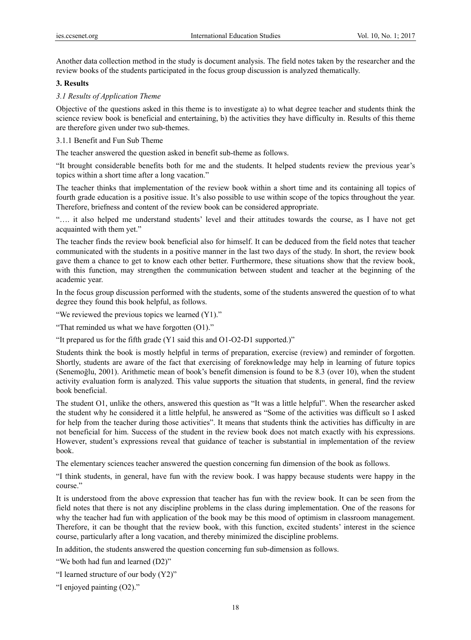Another data collection method in the study is document analysis. The field notes taken by the researcher and the review books of the students participated in the focus group discussion is analyzed thematically.

#### **3. Results**

#### *3.1 Results of Application Theme*

Objective of the questions asked in this theme is to investigate a) to what degree teacher and students think the science review book is beneficial and entertaining, b) the activities they have difficulty in. Results of this theme are therefore given under two sub-themes.

#### 3.1.1 Benefit and Fun Sub Theme

The teacher answered the question asked in benefit sub-theme as follows.

"It brought considerable benefits both for me and the students. It helped students review the previous year's topics within a short time after a long vacation."

The teacher thinks that implementation of the review book within a short time and its containing all topics of fourth grade education is a positive issue. It's also possible to use within scope of the topics throughout the year. Therefore, briefness and content of the review book can be considered appropriate.

"…. it also helped me understand students' level and their attitudes towards the course, as I have not get acquainted with them yet."

The teacher finds the review book beneficial also for himself. It can be deduced from the field notes that teacher communicated with the students in a positive manner in the last two days of the study. In short, the review book gave them a chance to get to know each other better. Furthermore, these situations show that the review book, with this function, may strengthen the communication between student and teacher at the beginning of the academic year.

In the focus group discussion performed with the students, some of the students answered the question of to what degree they found this book helpful, as follows.

"We reviewed the previous topics we learned (Y1)."

"That reminded us what we have forgotten (O1)."

"It prepared us for the fifth grade (Y1 said this and O1-O2-D1 supported.)"

Students think the book is mostly helpful in terms of preparation, exercise (review) and reminder of forgotten. Shortly, students are aware of the fact that exercising of foreknowledge may help in learning of future topics (Senemoğlu, 2001). Arithmetic mean of book's benefit dimension is found to be 8.3 (over 10), when the student activity evaluation form is analyzed. This value supports the situation that students, in general, find the review book beneficial.

The student O1, unlike the others, answered this question as "It was a little helpful". When the researcher asked the student why he considered it a little helpful, he answered as "Some of the activities was difficult so I asked for help from the teacher during those activities". It means that students think the activities has difficulty in are not beneficial for him. Success of the student in the review book does not match exactly with his expressions. However, student's expressions reveal that guidance of teacher is substantial in implementation of the review book.

The elementary sciences teacher answered the question concerning fun dimension of the book as follows.

"I think students, in general, have fun with the review book. I was happy because students were happy in the course."

It is understood from the above expression that teacher has fun with the review book. It can be seen from the field notes that there is not any discipline problems in the class during implementation. One of the reasons for why the teacher had fun with application of the book may be this mood of optimism in classroom management. Therefore, it can be thought that the review book, with this function, excited students' interest in the science course, particularly after a long vacation, and thereby minimized the discipline problems.

In addition, the students answered the question concerning fun sub-dimension as follows.

"We both had fun and learned (D2)"

"I learned structure of our body (Y2)"

"I enjoyed painting (O2)."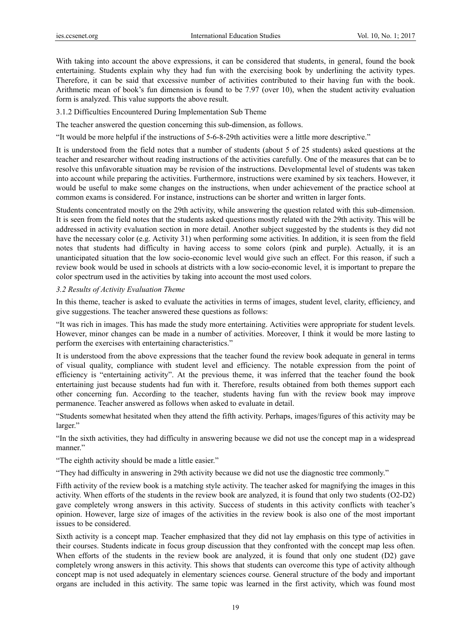With taking into account the above expressions, it can be considered that students, in general, found the book entertaining. Students explain why they had fun with the exercising book by underlining the activity types. Therefore, it can be said that excessive number of activities contributed to their having fun with the book. Arithmetic mean of book's fun dimension is found to be 7.97 (over 10), when the student activity evaluation form is analyzed. This value supports the above result.

3.1.2 Difficulties Encountered During Implementation Sub Theme

The teacher answered the question concerning this sub-dimension, as follows.

"It would be more helpful if the instructions of 5-6-8-29th activities were a little more descriptive."

It is understood from the field notes that a number of students (about 5 of 25 students) asked questions at the teacher and researcher without reading instructions of the activities carefully. One of the measures that can be to resolve this unfavorable situation may be revision of the instructions. Developmental level of students was taken into account while preparing the activities. Furthermore, instructions were examined by six teachers. However, it would be useful to make some changes on the instructions, when under achievement of the practice school at common exams is considered. For instance, instructions can be shorter and written in larger fonts.

Students concentrated mostly on the 29th activity, while answering the question related with this sub-dimension. It is seen from the field notes that the students asked questions mostly related with the 29th activity. This will be addressed in activity evaluation section in more detail. Another subject suggested by the students is they did not have the necessary color (e.g. Activity 31) when performing some activities. In addition, it is seen from the field notes that students had difficulty in having access to some colors (pink and purple). Actually, it is an unanticipated situation that the low socio-economic level would give such an effect. For this reason, if such a review book would be used in schools at districts with a low socio-economic level, it is important to prepare the color spectrum used in the activities by taking into account the most used colors.

# *3.2 Results of Activity Evaluation Theme*

In this theme, teacher is asked to evaluate the activities in terms of images, student level, clarity, efficiency, and give suggestions. The teacher answered these questions as follows:

"It was rich in images. This has made the study more entertaining. Activities were appropriate for student levels. However, minor changes can be made in a number of activities. Moreover, I think it would be more lasting to perform the exercises with entertaining characteristics."

It is understood from the above expressions that the teacher found the review book adequate in general in terms of visual quality, compliance with student level and efficiency. The notable expression from the point of efficiency is "entertaining activity". At the previous theme, it was inferred that the teacher found the book entertaining just because students had fun with it. Therefore, results obtained from both themes support each other concerning fun. According to the teacher, students having fun with the review book may improve permanence. Teacher answered as follows when asked to evaluate in detail.

"Students somewhat hesitated when they attend the fifth activity. Perhaps, images/figures of this activity may be larger."

"In the sixth activities, they had difficulty in answering because we did not use the concept map in a widespread manner."

"The eighth activity should be made a little easier."

"They had difficulty in answering in 29th activity because we did not use the diagnostic tree commonly."

Fifth activity of the review book is a matching style activity. The teacher asked for magnifying the images in this activity. When efforts of the students in the review book are analyzed, it is found that only two students (O2-D2) gave completely wrong answers in this activity. Success of students in this activity conflicts with teacher's opinion. However, large size of images of the activities in the review book is also one of the most important issues to be considered.

Sixth activity is a concept map. Teacher emphasized that they did not lay emphasis on this type of activities in their courses. Students indicate in focus group discussion that they confronted with the concept map less often. When efforts of the students in the review book are analyzed, it is found that only one student (D2) gave completely wrong answers in this activity. This shows that students can overcome this type of activity although concept map is not used adequately in elementary sciences course. General structure of the body and important organs are included in this activity. The same topic was learned in the first activity, which was found most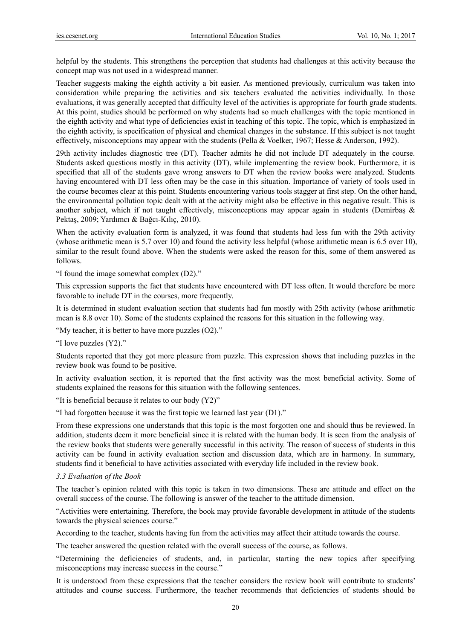helpful by the students. This strengthens the perception that students had challenges at this activity because the concept map was not used in a widespread manner.

Teacher suggests making the eighth activity a bit easier. As mentioned previously, curriculum was taken into consideration while preparing the activities and six teachers evaluated the activities individually. In those evaluations, it was generally accepted that difficulty level of the activities is appropriate for fourth grade students. At this point, studies should be performed on why students had so much challenges with the topic mentioned in the eighth activity and what type of deficiencies exist in teaching of this topic. The topic, which is emphasized in the eighth activity, is specification of physical and chemical changes in the substance. If this subject is not taught effectively, misconceptions may appear with the students (Pella & Voelker, 1967; Hesse & Anderson, 1992).

29th activity includes diagnostic tree (DT). Teacher admits he did not include DT adequately in the course. Students asked questions mostly in this activity (DT), while implementing the review book. Furthermore, it is specified that all of the students gave wrong answers to DT when the review books were analyzed. Students having encountered with DT less often may be the case in this situation. Importance of variety of tools used in the course becomes clear at this point. Students encountering various tools stagger at first step. On the other hand, the environmental pollution topic dealt with at the activity might also be effective in this negative result. This is another subject, which if not taught effectively, misconceptions may appear again in students (Demirbaş & Pektaş, 2009; Yardımcı & Bağcı-Kılıç, 2010).

When the activity evaluation form is analyzed, it was found that students had less fun with the 29th activity (whose arithmetic mean is 5.7 over 10) and found the activity less helpful (whose arithmetic mean is 6.5 over 10), similar to the result found above. When the students were asked the reason for this, some of them answered as follows.

"I found the image somewhat complex (D2)."

This expression supports the fact that students have encountered with DT less often. It would therefore be more favorable to include DT in the courses, more frequently.

It is determined in student evaluation section that students had fun mostly with 25th activity (whose arithmetic mean is 8.8 over 10). Some of the students explained the reasons for this situation in the following way.

"My teacher, it is better to have more puzzles (O2)."

"I love puzzles (Y2)."

Students reported that they got more pleasure from puzzle. This expression shows that including puzzles in the review book was found to be positive.

In activity evaluation section, it is reported that the first activity was the most beneficial activity. Some of students explained the reasons for this situation with the following sentences.

"It is beneficial because it relates to our body  $(Y2)$ "

"I had forgotten because it was the first topic we learned last year (D1)."

From these expressions one understands that this topic is the most forgotten one and should thus be reviewed. In addition, students deem it more beneficial since it is related with the human body. It is seen from the analysis of the review books that students were generally successful in this activity. The reason of success of students in this activity can be found in activity evaluation section and discussion data, which are in harmony. In summary, students find it beneficial to have activities associated with everyday life included in the review book.

#### *3.3 Evaluation of the Book*

The teacher's opinion related with this topic is taken in two dimensions. These are attitude and effect on the overall success of the course. The following is answer of the teacher to the attitude dimension.

"Activities were entertaining. Therefore, the book may provide favorable development in attitude of the students towards the physical sciences course."

According to the teacher, students having fun from the activities may affect their attitude towards the course.

The teacher answered the question related with the overall success of the course, as follows.

"Determining the deficiencies of students, and, in particular, starting the new topics after specifying misconceptions may increase success in the course."

It is understood from these expressions that the teacher considers the review book will contribute to students' attitudes and course success. Furthermore, the teacher recommends that deficiencies of students should be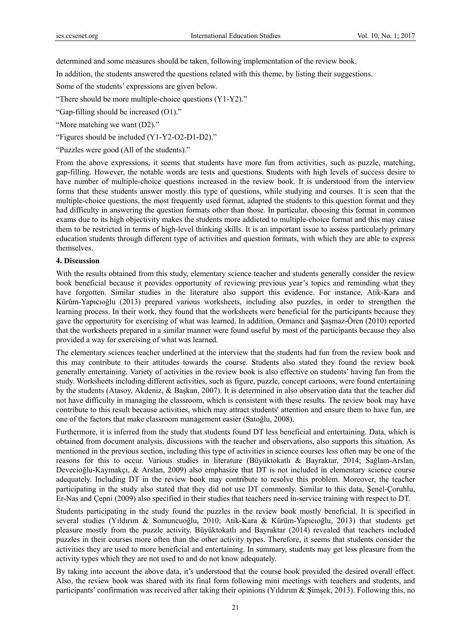determined and some measures should be taken, following implementation of the review book.

In addition, the students answered the questions related with this theme, by listing their suggestions.

Some of the students' expressions are given below.

"There should be more multiple-choice questions (Y1-Y2)."

"Gap-filling should be increased (O1)."

"More matching we want (D2)."

"Figures should be included (Y1-Y2-O2-D1-D2)."

"Puzzles were good (All of the students)."

From the above expressions, it seems that students have more fun from activities, such as puzzle, matching, gap-filling. However, the notable words are tests and questions. Students with high levels of success desire to have number of multiple-choice questions increased in the review book. It is understood from the interview forms that these students answer mostly this type of questions, while studying and courses. It is seen that the multiple-choice questions, the most frequently used format, adapted the students to this question format and they had difficulty in answering the question formats other than those. In particular, choosing this format in common exams due to its high objectivity makes the students more addicted to multiple-choice format and this may cause them to be restricted in terms of high-level thinking skills. It is an important issue to assess particularly primary education students through different type of activities and question formats, with which they are able to express themselves.

## **4. Discussion**

With the results obtained from this study, elementary science teacher and students generally consider the review book beneficial because it provides opportunity of reviewing previous year's topics and reminding what they have forgotten. Similar studies in the literature also support this evidence. For instance, Atik-Kara and Kürüm-Yapıcıoğlu (2013) prepared various worksheets, including also puzzles, in order to strengthen the learning process. In their work, they found that the worksheets were beneficial for the participants because they gave the opportunity for exercising of what was learned. In addition, Ormancı and Şaşmaz-Ören (2010) reported that the worksheets prepared in a similar manner were found useful by most of the participants because they also provided a way for exercising of what was learned.

The elementary sciences teacher underlined at the interview that the students had fun from the review book and this may contribute to their attitudes towards the course. Students also stated they found the review book generally entertaining. Variety of activities in the review book is also effective on students' having fun from the study. Worksheets including different activities, such as figure, puzzle, concept cartoons, were found entertaining by the students (Atasoy, Akdeniz, & Başkan, 2007). It is determined in also observation data that the teacher did not have difficulty in managing the classroom, which is consistent with these results. The review book may have contribute to this result because activities, which may attract students' attention and ensure them to have fun, are one of the factors that make classroom management easier (Satoğlu, 2008).

Furthermore, it is inferred from the study that students found DT less beneficial and entertaining. Data, which is obtained from document analysis, discussions with the teacher and observations, also supports this situation. As mentioned in the previous section, including this type of activities in science courses less often may be one of the reasons for this to occur. Various studies in literature (Büyüktokatlı & Bayraktar, 2014; Sağlam-Arslan, Devecioğlu-Kaymakçı, & Arslan, 2009) also emphasize that DT is not included in elementary science course adequately. Including DT in the review book may contribute to resolve this problem. Moreover, the teacher participating in the study also stated that they did not use DT commonly. Similar to this data, Şenel-Çoruhlu, Er-Nas and Çepni (2009) also specified in their studies that teachers need in-service training with respect to DT.

Students participating in the study found the puzzles in the review book mostly beneficial. It is specified in several studies (Yıldırım & Somuncuoğlu, 2010; Atik-Kara & Kürüm-Yapıcıoğlu, 2013) that students get pleasure mostly from the puzzle activity. Büyüktokatlı and Bayraktar (2014) revealed that teachers included puzzles in their courses more often than the other activity types. Therefore, it seems that students consider the activities they are used to more beneficial and entertaining. In summary, students may get less pleasure from the activity types which they are not used to and do not know adequately.

By taking into account the above data, it's understood that the course book provided the desired overall effect. Also, the review book was shared with its final form following mini meetings with teachers and students, and participants' confirmation was received after taking their opinions (Yıldırım & Şimşek, 2013). Following this, no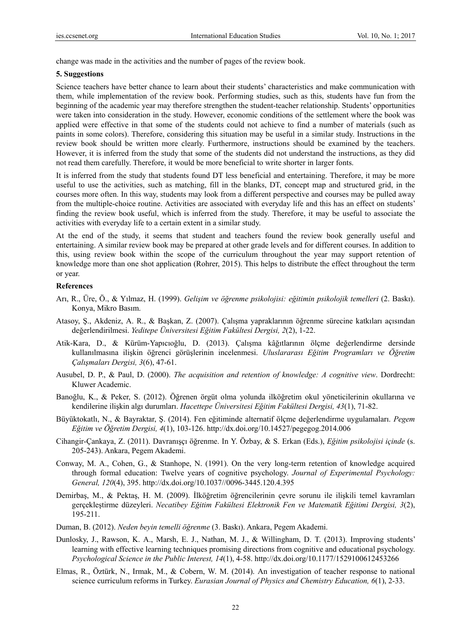change was made in the activities and the number of pages of the review book.

#### **5. Suggestions**

Science teachers have better chance to learn about their students' characteristics and make communication with them, while implementation of the review book. Performing studies, such as this, students have fun from the beginning of the academic year may therefore strengthen the student-teacher relationship. Students' opportunities were taken into consideration in the study. However, economic conditions of the settlement where the book was applied were effective in that some of the students could not achieve to find a number of materials (such as paints in some colors). Therefore, considering this situation may be useful in a similar study. Instructions in the review book should be written more clearly. Furthermore, instructions should be examined by the teachers. However, it is inferred from the study that some of the students did not understand the instructions, as they did not read them carefully. Therefore, it would be more beneficial to write shorter in larger fonts.

It is inferred from the study that students found DT less beneficial and entertaining. Therefore, it may be more useful to use the activities, such as matching, fill in the blanks, DT, concept map and structured grid, in the courses more often. In this way, students may look from a different perspective and courses may be pulled away from the multiple-choice routine. Activities are associated with everyday life and this has an effect on students' finding the review book useful, which is inferred from the study. Therefore, it may be useful to associate the activities with everyday life to a certain extent in a similar study.

At the end of the study, it seems that student and teachers found the review book generally useful and entertaining. A similar review book may be prepared at other grade levels and for different courses. In addition to this, using review book within the scope of the curriculum throughout the year may support retention of knowledge more than one shot application (Rohrer, 2015). This helps to distribute the effect throughout the term or year.

#### **References**

- Arı, R., Üre, Ö., & Yılmaz, H. (1999). *Gelişim ve öğrenme psikolojisi: eğitimin psikolojik temelleri* (2. Baskı). Konya, Mikro Basım.
- Atasoy, Ş., Akdeniz, A. R., & Başkan, Z. (2007). Çalışma yapraklarının öğrenme sürecine katkıları açısından değerlendirilmesi. *Yeditepe Üniversitesi Eğitim Fakültesi Dergisi, 2*(2), 1-22.
- Atik-Kara, D., & Kürüm-Yapıcıoğlu, D. (2013). Çalışma kâğıtlarının ölçme değerlendirme dersinde kullanılmasına ilişkin öğrenci görüşlerinin incelenmesi. *Uluslararası Eğitim Programları ve Öğretim Çalışmaları Dergisi, 3*(6), 47-61.
- Ausubel, D. P., & Paul, D. (2000). *The acquisition and retention of knowledge: A cognitive view*. Dordrecht: Kluwer Academic.
- Banoğlu, K., & Peker, S. (2012). Öğrenen örgüt olma yolunda ilköğretim okul yöneticilerinin okullarına ve kendilerine ilişkin algı durumları. *Hacettepe Üniversitesi Eğitim Fakültesi Dergisi, 43*(1), 71-82.
- Büyüktokatlı, N., & Bayraktar, Ş. (2014). Fen eğitiminde alternatif ölçme değerlendirme uygulamaları. *Pegem Eğitim ve Öğretim Dergisi, 4*(1), 103-126. http://dx.doi.org/10.14527/pegegog.2014.006
- Cihangir-Çankaya, Z. (2011). Davranışçı öğrenme. In Y. Özbay, & S. Erkan (Eds.), *Eğitim psikolojisi içinde* (s. 205-243). Ankara, Pegem Akademi.
- Conway, M. A., Cohen, G., & Stanhope, N. (1991). On the very long-term retention of knowledge acquired through formal education: Twelve years of cognitive psychology. *Journal of Experimental Psychology: General, 120*(4), 395. http://dx.doi.org/10.1037//0096-3445.120.4.395
- Demirbaş, M., & Pektaş, H. M. (2009). İlköğretim öğrencilerinin çevre sorunu ile ilişkili temel kavramları gerçekleştirme düzeyleri. *Necatibey Eğitim Fakültesi Elektronik Fen ve Matematik Eğitimi Dergisi, 3*(2), 195-211.
- Duman, B. (2012). *Neden beyin temelli öğrenme* (3. Baskı). Ankara, Pegem Akademi.
- Dunlosky, J., Rawson, K. A., Marsh, E. J., Nathan, M. J., & Willingham, D. T. (2013). Improving students' learning with effective learning techniques promising directions from cognitive and educational psychology. *Psychological Science in the Public Interest, 14*(1), 4-58. http://dx.doi.org/10.1177/1529100612453266
- Elmas, R., Öztürk, N., Irmak, M., & Cobern, W. M. (2014). An investigation of teacher response to national science curriculum reforms in Turkey. *Eurasian Journal of Physics and Chemistry Education, 6*(1), 2-33.